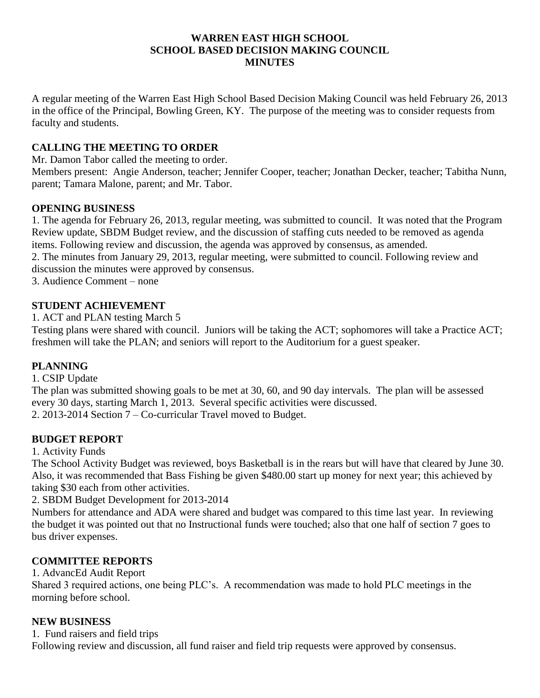#### **WARREN EAST HIGH SCHOOL SCHOOL BASED DECISION MAKING COUNCIL MINUTES**

A regular meeting of the Warren East High School Based Decision Making Council was held February 26, 2013 in the office of the Principal, Bowling Green, KY. The purpose of the meeting was to consider requests from faculty and students.

### **CALLING THE MEETING TO ORDER**

Mr. Damon Tabor called the meeting to order.

Members present: Angie Anderson, teacher; Jennifer Cooper, teacher; Jonathan Decker, teacher; Tabitha Nunn, parent; Tamara Malone, parent; and Mr. Tabor.

#### **OPENING BUSINESS**

1. The agenda for February 26, 2013, regular meeting, was submitted to council. It was noted that the Program Review update, SBDM Budget review, and the discussion of staffing cuts needed to be removed as agenda items. Following review and discussion, the agenda was approved by consensus, as amended. 2. The minutes from January 29, 2013, regular meeting, were submitted to council. Following review and discussion the minutes were approved by consensus.

3. Audience Comment – none

## **STUDENT ACHIEVEMENT**

1. ACT and PLAN testing March 5

Testing plans were shared with council. Juniors will be taking the ACT; sophomores will take a Practice ACT; freshmen will take the PLAN; and seniors will report to the Auditorium for a guest speaker.

#### **PLANNING**

1. CSIP Update

The plan was submitted showing goals to be met at 30, 60, and 90 day intervals. The plan will be assessed every 30 days, starting March 1, 2013. Several specific activities were discussed. 2. 2013-2014 Section 7 – Co-curricular Travel moved to Budget.

#### **BUDGET REPORT**

1. Activity Funds

The School Activity Budget was reviewed, boys Basketball is in the rears but will have that cleared by June 30. Also, it was recommended that Bass Fishing be given \$480.00 start up money for next year; this achieved by taking \$30 each from other activities.

2. SBDM Budget Development for 2013-2014

Numbers for attendance and ADA were shared and budget was compared to this time last year. In reviewing the budget it was pointed out that no Instructional funds were touched; also that one half of section 7 goes to bus driver expenses.

# **COMMITTEE REPORTS**

#### 1. AdvancEd Audit Report

Shared 3 required actions, one being PLC's. A recommendation was made to hold PLC meetings in the morning before school.

#### **NEW BUSINESS**

1. Fund raisers and field trips

Following review and discussion, all fund raiser and field trip requests were approved by consensus.